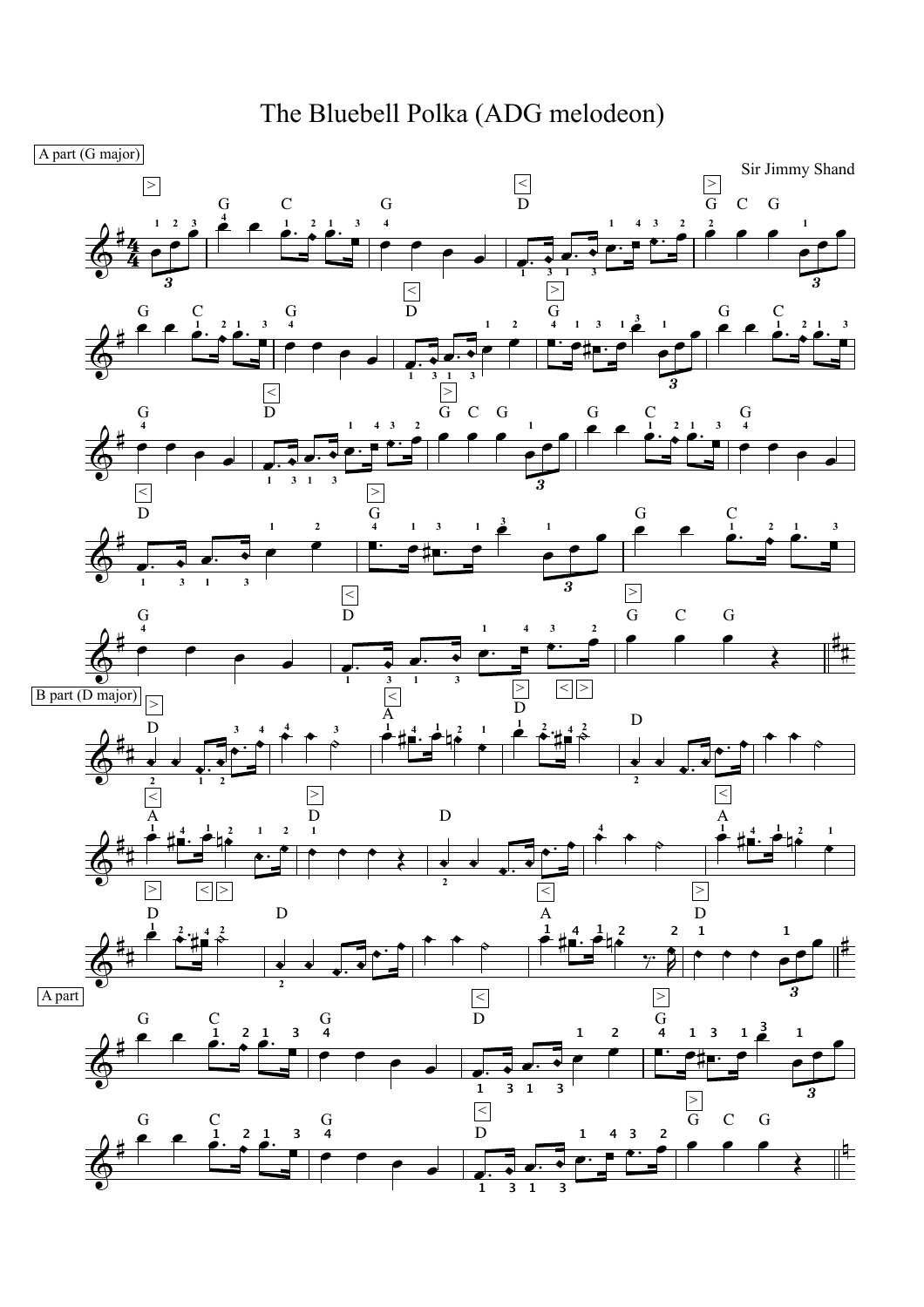The Bluebell Polka (ADG melodeon)

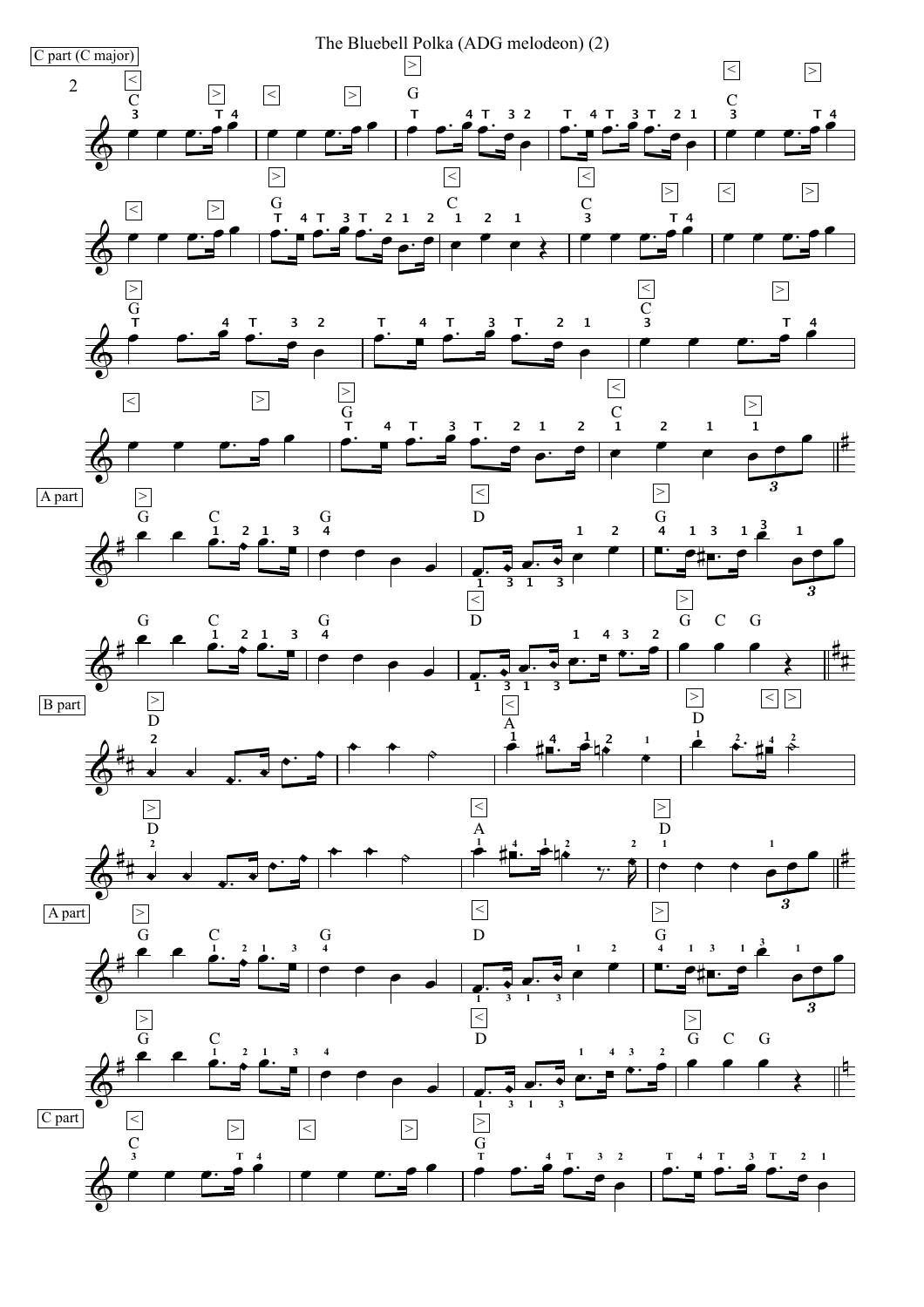